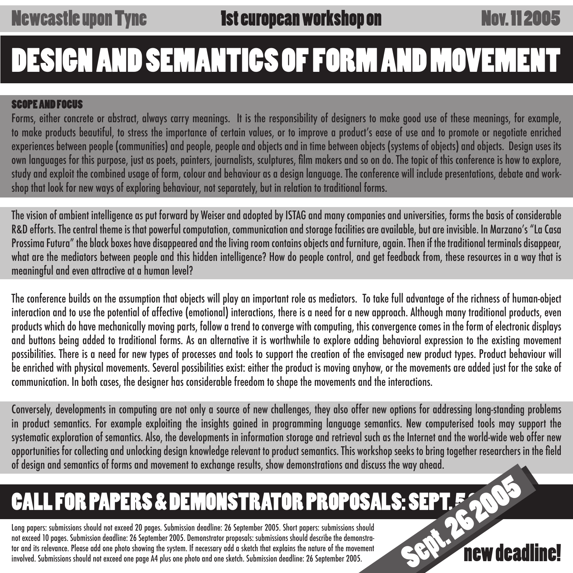# DESIGN AND SEMANTICS OF FORM AND MOVEMENT

## SCOPE AND FOCUS

Forms, either concrete or abstract, always carry meanings. It is the responsibility of designers to make good use of these meanings, for example, to make products beautiful, to stress the importance of certain values, or to improve a product's ease of use and to promote or negotiate enriched experiences between people (communities) and people, people and objects and in time between objects (systems of objects) and objects. Design uses its own languages for this purpose, just as poets, painters, journalists, sculptures, film makers and so on do. The topic of this conference is how to explore, study and exploit the combined usage of form, colour and behaviour as a design language. The conference will include presentations, debate and workshop that look for new ways of exploring behaviour, not separately, but in relation to traditional forms.

The vision of ambient intelligence as put forward by Weiser and adopted by ISTAG and many companies and universities, forms the basis of considerable R&D efforts. The central theme is that powerful computation, communication and storage facilities are available, but are invisible. In Marzano's "La Casa Prossima Futura" the black boxes have disappeared and the living room contains objects and furniture, again. Then if the traditional terminals disappear, what are the mediators between people and this hidden intelligence? How do people control, and get feedback from, these resources in a way that is meaningful and even attractive at a human level?

The conference builds on the assumption that objects will play an important role as mediators. To take full advantage of the richness of human-object interaction and to use the potential of affective (emotional) interactions, there is a need for a new approach. Although many traditional products, even products which do have mechanically moving parts, follow a trend to converge with computing, this convergence comes in the form of electronic displays and buttons being added to traditional forms. As an alternative it is worthwhile to explore adding behavioral expression to the existing movement possibilities. There is a need for new types of processes and tools to support the creation of the envisaged new product types. Product behaviour will be enriched with physical movements. Several possibilities exist: either the product is moving anyhow, or the movements are added just for the sake of communication. In both cases, the designer has considerable freedom to shape the movements and the interactions.

Conversely, developments in computing are not only a source of new challenges, they also offer new options for addressing long-standing problems in product semantics. For example exploiting the insights gained in programming language semantics. New computerised tools may support the systematic exploration of semantics. Also, the developments in information storage and retrieval such as the Internet and the world-wide web offer new opportunities for collecting and unlocking design knowledge relevant to product semantics. This workshop seeks to bring together researchers in the field of design and semantics of forms and movement to exchange results, show demonstrations and discuss the way ahead.

CALL FOR PAPERS & DEMONSTRATOR PROPOSALS: SEPT. Long papers: submissions should not exceed 20 pages. Submission deadline: 26 September 2005. Short papers: submissions should not exceed 10 pages. Submission deadline: 26 September 2005. Demonstrator proposals: submissions should describe the demonstrator and its relevance. Please add one photo showing the system. If necessary add a sketch that explains the nature of the movement involved. Submissions should not exceed one page A4 plus one photo and one sketch. Submission deadline: 26 September 2005.